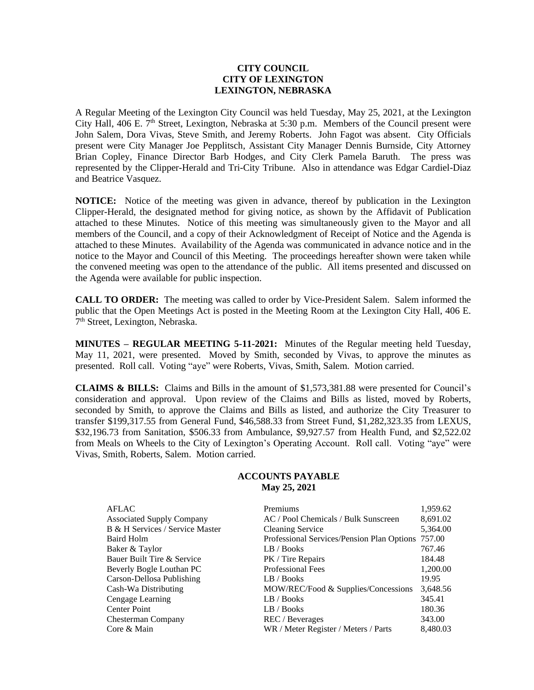# **CITY COUNCIL CITY OF LEXINGTON LEXINGTON, NEBRASKA**

A Regular Meeting of the Lexington City Council was held Tuesday, May 25, 2021, at the Lexington City Hall, 406 E.  $7<sup>th</sup>$  Street, Lexington, Nebraska at 5:30 p.m. Members of the Council present were John Salem, Dora Vivas, Steve Smith, and Jeremy Roberts. John Fagot was absent. City Officials present were City Manager Joe Pepplitsch, Assistant City Manager Dennis Burnside, City Attorney Brian Copley, Finance Director Barb Hodges, and City Clerk Pamela Baruth. The press was represented by the Clipper-Herald and Tri-City Tribune. Also in attendance was Edgar Cardiel-Diaz and Beatrice Vasquez.

**NOTICE:** Notice of the meeting was given in advance, thereof by publication in the Lexington Clipper-Herald, the designated method for giving notice, as shown by the Affidavit of Publication attached to these Minutes. Notice of this meeting was simultaneously given to the Mayor and all members of the Council, and a copy of their Acknowledgment of Receipt of Notice and the Agenda is attached to these Minutes. Availability of the Agenda was communicated in advance notice and in the notice to the Mayor and Council of this Meeting. The proceedings hereafter shown were taken while the convened meeting was open to the attendance of the public. All items presented and discussed on the Agenda were available for public inspection.

**CALL TO ORDER:** The meeting was called to order by Vice-President Salem. Salem informed the public that the Open Meetings Act is posted in the Meeting Room at the Lexington City Hall, 406 E. 7<sup>th</sup> Street, Lexington, Nebraska.

**MINUTES – REGULAR MEETING 5-11-2021:** Minutes of the Regular meeting held Tuesday, May 11, 2021, were presented. Moved by Smith, seconded by Vivas, to approve the minutes as presented. Roll call. Voting "aye" were Roberts, Vivas, Smith, Salem. Motion carried.

**CLAIMS & BILLS:** Claims and Bills in the amount of \$1,573,381.88 were presented for Council's consideration and approval. Upon review of the Claims and Bills as listed, moved by Roberts, seconded by Smith, to approve the Claims and Bills as listed, and authorize the City Treasurer to transfer \$199,317.55 from General Fund, \$46,588.33 from Street Fund, \$1,282,323.35 from LEXUS, \$32,196.73 from Sanitation, \$506.33 from Ambulance, \$9,927.57 from Health Fund, and \$2,522.02 from Meals on Wheels to the City of Lexington's Operating Account. Roll call. Voting "aye" were Vivas, Smith, Roberts, Salem. Motion carried.

### **ACCOUNTS PAYABLE May 25, 2021**

| <b>AFLAC</b>                     | Premiums                                   | 1,959.62 |
|----------------------------------|--------------------------------------------|----------|
| <b>Associated Supply Company</b> | AC / Pool Chemicals / Bulk Sunscreen       | 8,691.02 |
| B & H Services / Service Master  | <b>Cleaning Service</b>                    | 5,364.00 |
| Baird Holm                       | Professional Services/Pension Plan Options | 757.00   |
| Baker & Taylor                   | LB / Books                                 | 767.46   |
| Bauer Built Tire & Service       | PK / Tire Repairs                          | 184.48   |
| Beverly Bogle Louthan PC         | <b>Professional Fees</b>                   | 1,200.00 |
| Carson-Dellosa Publishing        | LB / Books                                 | 19.95    |
| Cash-Wa Distributing             | MOW/REC/Food & Supplies/Concessions        | 3,648.56 |
| Cengage Learning                 | LB / Books                                 | 345.41   |
| <b>Center Point</b>              | LB / Books                                 | 180.36   |
| Chesterman Company               | REC / Beverages                            | 343.00   |
| Core & Main                      | WR / Meter Register / Meters / Parts       | 8,480.03 |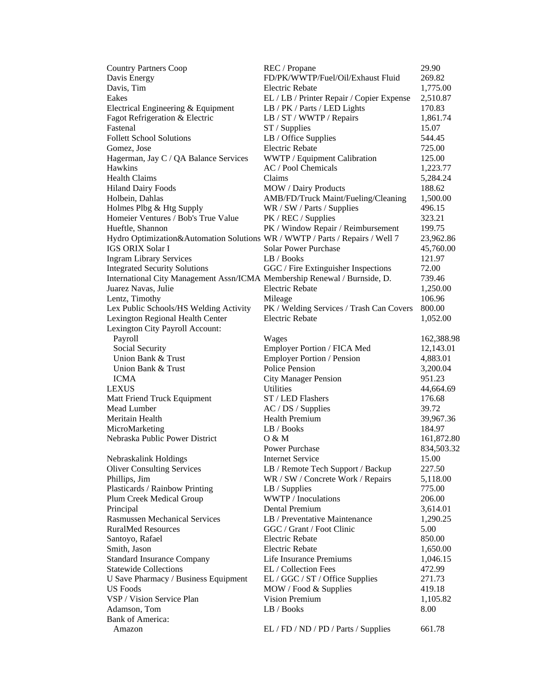| <b>Country Partners Coop</b>                                                 | REC / Propane                             | 29.90      |
|------------------------------------------------------------------------------|-------------------------------------------|------------|
| Davis Energy                                                                 | FD/PK/WWTP/Fuel/Oil/Exhaust Fluid         | 269.82     |
| Davis, Tim                                                                   | <b>Electric Rebate</b>                    | 1,775.00   |
| Eakes                                                                        | EL / LB / Printer Repair / Copier Expense | 2,510.87   |
| Electrical Engineering & Equipment                                           | LB / PK / Parts / LED Lights              | 170.83     |
| Fagot Refrigeration & Electric                                               | LB / ST / WWTP / Repairs                  | 1,861.74   |
| Fastenal                                                                     | ST / Supplies                             | 15.07      |
| <b>Follett School Solutions</b>                                              | LB / Office Supplies                      | 544.45     |
| Gomez, Jose                                                                  | <b>Electric Rebate</b>                    | 725.00     |
| Hagerman, Jay C / QA Balance Services                                        | WWTP / Equipment Calibration              | 125.00     |
| Hawkins                                                                      | AC / Pool Chemicals                       | 1,223.77   |
| <b>Health Claims</b>                                                         | Claims                                    | 5,284.24   |
| <b>Hiland Dairy Foods</b>                                                    | MOW / Dairy Products                      | 188.62     |
| Holbein, Dahlas                                                              | AMB/FD/Truck Maint/Fueling/Cleaning       | 1,500.00   |
| Holmes Plbg & Htg Supply                                                     | WR / SW / Parts / Supplies                | 496.15     |
| Homeier Ventures / Bob's True Value                                          | PK / REC / Supplies                       | 323.21     |
| Hueftle, Shannon                                                             | PK / Window Repair / Reimbursement        | 199.75     |
| Hydro Optimization&Automation Solutions WR / WWTP / Parts / Repairs / Well 7 |                                           | 23,962.86  |
| <b>IGS ORIX Solar I</b>                                                      | <b>Solar Power Purchase</b>               | 45,760.00  |
| <b>Ingram Library Services</b>                                               | LB / Books                                | 121.97     |
| <b>Integrated Security Solutions</b>                                         | GGC / Fire Extinguisher Inspections       | 72.00      |
| International City Management Assn/ICMA Membership Renewal / Burnside, D.    |                                           | 739.46     |
| Juarez Navas, Julie                                                          | <b>Electric Rebate</b>                    | 1,250.00   |
| Lentz, Timothy                                                               | Mileage                                   | 106.96     |
| Lex Public Schools/HS Welding Activity                                       | PK / Welding Services / Trash Can Covers  | 800.00     |
| Lexington Regional Health Center                                             | <b>Electric Rebate</b>                    | 1,052.00   |
| Lexington City Payroll Account:                                              |                                           |            |
| Payroll                                                                      | Wages                                     | 162,388.98 |
| Social Security                                                              | Employer Portion / FICA Med               | 12,143.01  |
| Union Bank & Trust                                                           | <b>Employer Portion / Pension</b>         | 4,883.01   |
| Union Bank & Trust                                                           | Police Pension                            | 3,200.04   |
| <b>ICMA</b>                                                                  | <b>City Manager Pension</b>               | 951.23     |
| <b>LEXUS</b>                                                                 | Utilities                                 | 44,664.69  |
| Matt Friend Truck Equipment                                                  | ST / LED Flashers                         | 176.68     |
| Mead Lumber                                                                  | AC / DS / Supplies                        | 39.72      |
| Meritain Health                                                              | <b>Health Premium</b>                     | 39,967.36  |
| MicroMarketing                                                               | LB / Books                                | 184.97     |
| Nebraska Public Power District                                               | O & M                                     | 161,872.80 |
|                                                                              | Power Purchase                            | 834,503.32 |
| Nebraskalink Holdings                                                        | <b>Internet Service</b>                   | 15.00      |
| <b>Oliver Consulting Services</b>                                            | LB / Remote Tech Support / Backup         | 227.50     |
| Phillips, Jim                                                                | WR / SW / Concrete Work / Repairs         | 5,118.00   |
| Plasticards / Rainbow Printing                                               | $LB /$ Supplies                           | 775.00     |
| Plum Creek Medical Group                                                     | WWTP / Inoculations                       | 206.00     |
| Principal                                                                    | Dental Premium                            | 3,614.01   |
| <b>Rasmussen Mechanical Services</b>                                         | LB / Preventative Maintenance             | 1,290.25   |
| <b>RuralMed Resources</b>                                                    | GGC / Grant / Foot Clinic                 | 5.00       |
| Santoyo, Rafael                                                              | <b>Electric Rebate</b>                    | 850.00     |
| Smith, Jason                                                                 | <b>Electric Rebate</b>                    | 1,650.00   |
| <b>Standard Insurance Company</b>                                            | Life Insurance Premiums                   | 1,046.15   |
| <b>Statewide Collections</b>                                                 | EL / Collection Fees                      | 472.99     |
| U Save Pharmacy / Business Equipment                                         | EL / GGC / ST / Office Supplies           | 271.73     |
| <b>US</b> Foods                                                              | MOW / Food & Supplies                     | 419.18     |
| VSP / Vision Service Plan                                                    | Vision Premium                            | 1,105.82   |
| Adamson, Tom                                                                 | LB / Books                                | 8.00       |
| Bank of America:                                                             |                                           |            |
| Amazon                                                                       | EL / FD / ND / PD / Parts / Supplies      | 661.78     |
|                                                                              |                                           |            |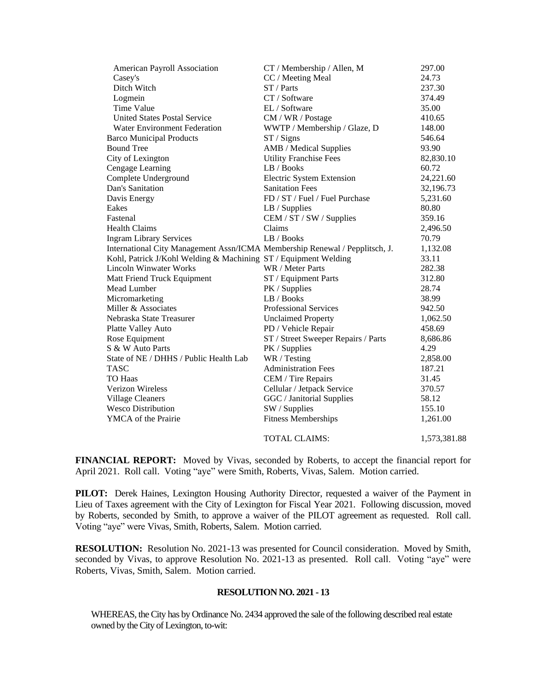| American Payroll Association                                                | CT / Membership / Allen, M          | 297.00       |
|-----------------------------------------------------------------------------|-------------------------------------|--------------|
| Casey's                                                                     | CC / Meeting Meal                   | 24.73        |
| Ditch Witch                                                                 | ST / Parts                          | 237.30       |
| Logmein                                                                     | CT / Software                       | 374.49       |
| Time Value                                                                  | EL / Software                       | 35.00        |
| <b>United States Postal Service</b>                                         | CM / WR / Postage                   | 410.65       |
| <b>Water Environment Federation</b>                                         | WWTP / Membership / Glaze, D        | 148.00       |
| <b>Barco Municipal Products</b>                                             | ST / Signs                          | 546.64       |
| <b>Bound Tree</b>                                                           | AMB / Medical Supplies              | 93.90        |
| City of Lexington                                                           | <b>Utility Franchise Fees</b>       | 82,830.10    |
| Cengage Learning                                                            | LB / Books                          | 60.72        |
| Complete Underground                                                        | <b>Electric System Extension</b>    | 24,221.60    |
| Dan's Sanitation                                                            | <b>Sanitation Fees</b>              | 32,196.73    |
| Davis Energy                                                                | FD / ST / Fuel / Fuel Purchase      | 5,231.60     |
| Eakes                                                                       | LB / Supplies                       | 80.80        |
| Fastenal                                                                    | CEM / ST / SW / Supplies            | 359.16       |
| <b>Health Claims</b>                                                        | Claims                              | 2,496.50     |
| <b>Ingram Library Services</b>                                              | LB/Books                            | 70.79        |
| International City Management Assn/ICMA Membership Renewal / Pepplitsch, J. |                                     | 1,132.08     |
| Kohl, Patrick J/Kohl Welding & Machining ST / Equipment Welding             |                                     | 33.11        |
| <b>Lincoln Winwater Works</b>                                               | WR / Meter Parts                    | 282.38       |
| Matt Friend Truck Equipment                                                 | ST / Equipment Parts                | 312.80       |
| Mead Lumber                                                                 | PK / Supplies                       | 28.74        |
| Micromarketing                                                              | LB / Books                          | 38.99        |
| Miller & Associates                                                         | <b>Professional Services</b>        | 942.50       |
| Nebraska State Treasurer                                                    | <b>Unclaimed Property</b>           | 1,062.50     |
| Platte Valley Auto                                                          | PD / Vehicle Repair                 | 458.69       |
| Rose Equipment                                                              | ST / Street Sweeper Repairs / Parts | 8,686.86     |
| S & W Auto Parts                                                            | PK / Supplies                       | 4.29         |
| State of NE / DHHS / Public Health Lab                                      | WR / Testing                        | 2,858.00     |
| <b>TASC</b>                                                                 | <b>Administration Fees</b>          | 187.21       |
| <b>TO Haas</b>                                                              | CEM / Tire Repairs                  | 31.45        |
| Verizon Wireless                                                            | Cellular / Jetpack Service          | 370.57       |
| <b>Village Cleaners</b>                                                     | GGC / Janitorial Supplies           | 58.12        |
| <b>Wesco Distribution</b>                                                   | SW / Supplies                       | 155.10       |
| YMCA of the Prairie                                                         | <b>Fitness Memberships</b>          | 1,261.00     |
|                                                                             | <b>TOTAL CLAIMS:</b>                | 1,573,381.88 |

**FINANCIAL REPORT:** Moved by Vivas, seconded by Roberts, to accept the financial report for April 2021. Roll call. Voting "aye" were Smith, Roberts, Vivas, Salem. Motion carried.

**PILOT:** Derek Haines, Lexington Housing Authority Director, requested a waiver of the Payment in Lieu of Taxes agreement with the City of Lexington for Fiscal Year 2021. Following discussion, moved by Roberts, seconded by Smith, to approve a waiver of the PILOT agreement as requested. Roll call. Voting "aye" were Vivas, Smith, Roberts, Salem. Motion carried.

**RESOLUTION:** Resolution No. 2021-13 was presented for Council consideration. Moved by Smith, seconded by Vivas, to approve Resolution No. 2021-13 as presented. Roll call. Voting "aye" were Roberts, Vivas, Smith, Salem. Motion carried.

#### **RESOLUTION NO. 2021 - 13**

WHEREAS, the City has by Ordinance No. 2434 approved the sale of the following described real estate owned by the City of Lexington, to-wit: